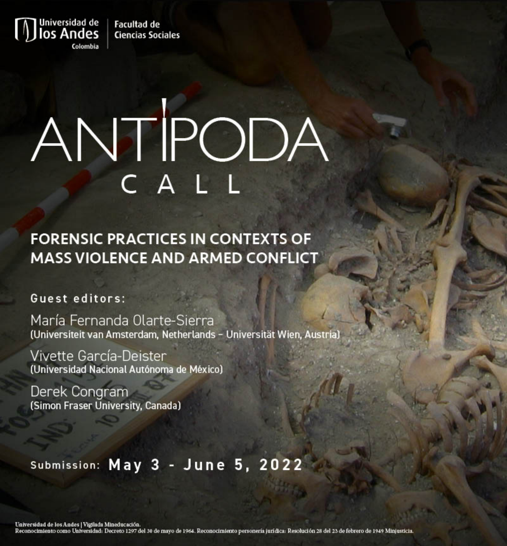**Facultad de Ciencias Sociales** 

## ANTIPODA

**FORENSIC PRACTICES IN CONTEXTS OF MASS VIOLENCE AND ARMED CONFLICT** 

Guest editors:

Iniversidad de

Colombia

María Fernanda Olarte-Sierra (Universiteit van Amsterdam, Netherlands - Universität Wien, Austria)

Vivette García-Deister (Universidad Nacional Autónoma de México)

Derek Congram (Simon Fraser University, Canada)

## Submission: May 3 - June 5, 2022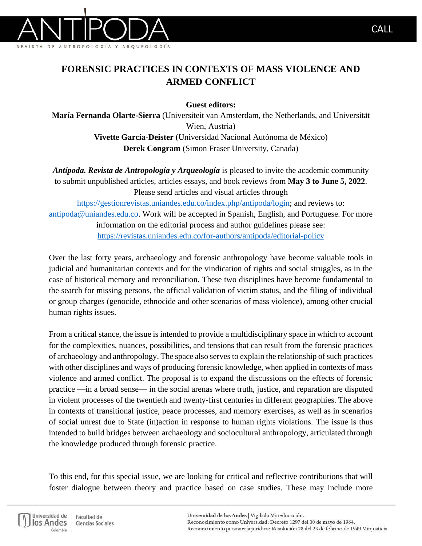

## **FORENSIC PRACTICES IN CONTEXTS OF MASS VIOLENCE AND ARMED CONFLICT**

**Guest editors:**

**María Fernanda Olarte-Sierra** (Universiteit van Amsterdam, the Netherlands, and Universität Wien, Austria) **Vivette García-Deister** (Universidad Nacional Autónoma de México) **Derek Congram** (Simon Fraser University, Canada)

*Antípoda. Revista de Antropología y Arqueología* is pleased to invite the academic community to submit unpublished articles, articles essays, and book reviews from **May 3 to June 5, 2022**. Please send articles and visual articles through [https://gestionrevistas.uniandes.edu.co/index.php/antipoda/login;](https://gestionrevistas.uniandes.edu.co/index.php/antipoda/login) and reviews to: [antipoda@uniandes.edu.co.](about:blank) Work will be accepted in Spanish, English, and Portuguese. For more information on the editorial process and author guidelines please see: <https://revistas.uniandes.edu.co/for-authors/antipoda/editorial-policy>

Over the last forty years, archaeology and forensic anthropology have become valuable tools in judicial and humanitarian contexts and for the vindication of rights and social struggles, as in the case of historical memory and reconciliation. These two disciplines have become fundamental to the search for missing persons, the official validation of victim status, and the filing of individual or group charges (genocide, ethnocide and other scenarios of mass violence), among other crucial human rights issues.

From a critical stance, the issue is intended to provide a multidisciplinary space in which to account for the complexities, nuances, possibilities, and tensions that can result from the forensic practices of archaeology and anthropology. The space also serves to explain the relationship of such practices with other disciplines and ways of producing forensic knowledge, when applied in contexts of mass violence and armed conflict. The proposal is to expand the discussions on the effects of forensic practice —in a broad sense— in the social arenas where truth, justice, and reparation are disputed in violent processes of the twentieth and twenty-first centuries in different geographies. The above in contexts of transitional justice, peace processes, and memory exercises, as well as in scenarios of social unrest due to State (in)action in response to human rights violations. The issue is thus intended to build bridges between archaeology and sociocultural anthropology, articulated through the knowledge produced through forensic practice.

To this end, for this special issue, we are looking for critical and reflective contributions that will foster dialogue between theory and practice based on case studies. These may include more